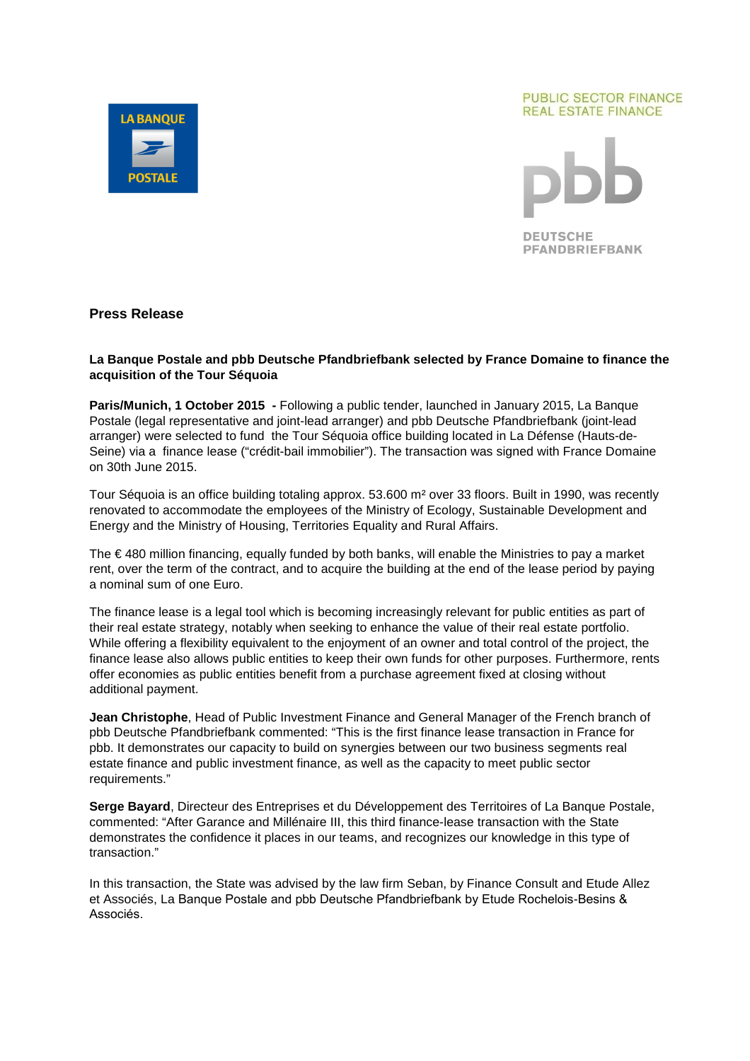

#### **PUBLIC SECTOR FINANCE REAL ESTATE FINANCE**

**DEUTSCHE** 

**PFANDBRIEFBANK** 

# **Press Release**

## **La Banque Postale and pbb Deutsche Pfandbriefbank selected by France Domaine to finance the acquisition of the Tour Séquoia**

**Paris/Munich, 1 October 2015 -** Following a public tender, launched in January 2015, La Banque Postale (legal representative and joint-lead arranger) and pbb Deutsche Pfandbriefbank (joint-lead arranger) were selected to fund the Tour Séquoia office building located in La Défense (Hauts-de-Seine) via a finance lease ("crédit-bail immobilier"). The transaction was signed with France Domaine on 30th June 2015.

Tour Séquoia is an office building totaling approx. 53.600 m² over 33 floors. Built in 1990, was recently renovated to accommodate the employees of the Ministry of Ecology, Sustainable Development and Energy and the Ministry of Housing, Territories Equality and Rural Affairs.

The € 480 million financing, equally funded by both banks, will enable the Ministries to pay a market rent, over the term of the contract, and to acquire the building at the end of the lease period by paying a nominal sum of one Euro.

The finance lease is a legal tool which is becoming increasingly relevant for public entities as part of their real estate strategy, notably when seeking to enhance the value of their real estate portfolio. While offering a flexibility equivalent to the enjoyment of an owner and total control of the project, the finance lease also allows public entities to keep their own funds for other purposes. Furthermore, rents offer economies as public entities benefit from a purchase agreement fixed at closing without additional payment.

**Jean Christophe**, Head of Public Investment Finance and General Manager of the French branch of pbb Deutsche Pfandbriefbank commented: "This is the first finance lease transaction in France for pbb. It demonstrates our capacity to build on synergies between our two business segments real estate finance and public investment finance, as well as the capacity to meet public sector requirements."

**Serge Bayard**, Directeur des Entreprises et du Développement des Territoires of La Banque Postale, commented: "After Garance and Millénaire III, this third finance-lease transaction with the State demonstrates the confidence it places in our teams, and recognizes our knowledge in this type of transaction."

In this transaction, the State was advised by the law firm Seban, by Finance Consult and Etude Allez et Associés, La Banque Postale and pbb Deutsche Pfandbriefbank by Etude Rochelois-Besins & Associés.